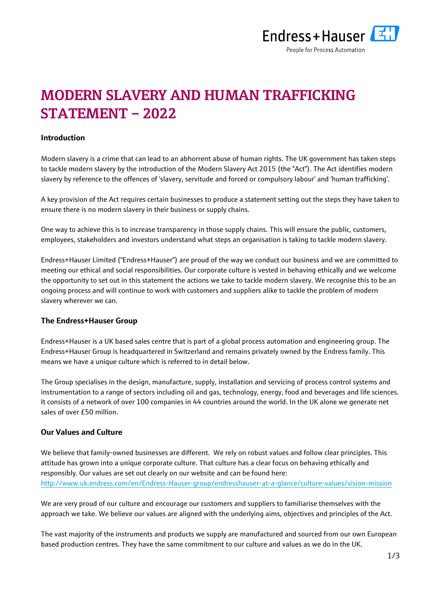

# **MODERN SLAVERY AND HUMAN TRAFFICKING STATEMENT – 2022**

## **Introduction**

Modern slavery is a crime that can lead to an abhorrent abuse of human rights. The UK government has taken steps to tackle modern slavery by the introduction of the Modern Slavery Act 2015 (the "Act"). The Act identifies modern slavery by reference to the offences of 'slavery, servitude and forced or compulsory labour' and 'human trafficking'.

A key provision of the Act requires certain businesses to produce a statement setting out the steps they have taken to ensure there is no modern slavery in their business or supply chains.

One way to achieve this is to increase transparency in those supply chains. This will ensure the public, customers, employees, stakeholders and investors understand what steps an organisation is taking to tackle modern slavery.

Endress+Hauser Limited ("Endress+Hauser") are proud of the way we conduct our business and we are committed to meeting our ethical and social responsibilities. Our corporate culture is vested in behaving ethically and we welcome the opportunity to set out in this statement the actions we take to tackle modern slavery. We recognise this to be an ongoing process and will continue to work with customers and suppliers alike to tackle the problem of modern slavery wherever we can.

## **The Endress+Hauser Group**

Endress+Hauser is a UK based sales centre that is part of a global process automation and engineering group. The Endress+Hauser Group is headquartered in Switzerland and remains privately owned by the Endress family. This means we have a unique culture which is referred to in detail below.

The Group specialises in the design, manufacture, supply, installation and servicing of process control systems and instrumentation to a range of sectors including oil and gas, technology, energy, food and beverages and life sciences. It consists of a network of over 100 companies in 44 countries around the world. In the UK alone we generate net sales of over £50 million.

# **Our Values and Culture**

We believe that family-owned businesses are different. We rely on robust values and follow clear principles. This attitude has grown into a unique corporate culture. That culture has a clear focus on behaving ethically and responsibly. Our values are set out clearly on our website and can be found here: <http://www.uk.endress.com/en/Endress-Hauser-group/endresshauser-at-a-glance/culture-values/vision-mission>

We are very proud of our culture and encourage our customers and suppliers to familiarise themselves with the approach we take. We believe our values are aligned with the underlying aims, objectives and principles of the Act.

The vast majority of the instruments and products we supply are manufactured and sourced from our own European based production centres. They have the same commitment to our culture and values as we do in the UK.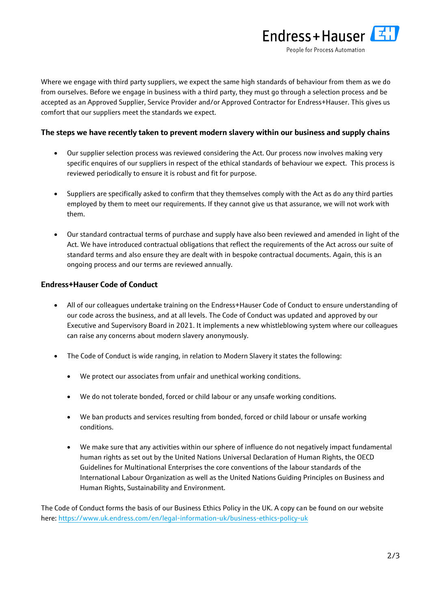

Where we engage with third party suppliers, we expect the same high standards of behaviour from them as we do from ourselves. Before we engage in business with a third party, they must go through a selection process and be accepted as an Approved Supplier, Service Provider and/or Approved Contractor for Endress+Hauser. This gives us comfort that our suppliers meet the standards we expect.

## **The steps we have recently taken to prevent modern slavery within our business and supply chains**

- Our supplier selection process was reviewed considering the Act. Our process now involves making very specific enquires of our suppliers in respect of the ethical standards of behaviour we expect. This process is reviewed periodically to ensure it is robust and fit for purpose.
- Suppliers are specifically asked to confirm that they themselves comply with the Act as do any third parties employed by them to meet our requirements. If they cannot give us that assurance, we will not work with them.
- Our standard contractual terms of purchase and supply have also been reviewed and amended in light of the Act. We have introduced contractual obligations that reflect the requirements of the Act across our suite of standard terms and also ensure they are dealt with in bespoke contractual documents. Again, this is an ongoing process and our terms are reviewed annually.

# **Endress+Hauser Code of Conduct**

- All of our colleagues undertake training on the Endress+Hauser Code of Conduct to ensure understanding of our code across the business, and at all levels. The Code of Conduct was updated and approved by our Executive and Supervisory Board in 2021. It implements a new whistleblowing system where our colleagues can raise any concerns about modern slavery anonymously.
- The Code of Conduct is wide ranging, in relation to Modern Slavery it states the following:
	- We protect our associates from unfair and unethical working conditions.
	- We do not tolerate bonded, forced or child labour or any unsafe working conditions.
	- We ban products and services resulting from bonded, forced or child labour or unsafe working conditions.
	- We make sure that any activities within our sphere of influence do not negatively impact fundamental human rights as set out by the United Nations Universal Declaration of Human Rights, the OECD Guidelines for Multinational Enterprises the core conventions of the labour standards of the International Labour Organization as well as the United Nations Guiding Principles on Business and Human Rights, Sustainability and Environment.

The Code of Conduct forms the basis of our Business Ethics Policy in the UK. A copy can be found on our website here:<https://www.uk.endress.com/en/legal-information-uk/business-ethics-policy-uk>